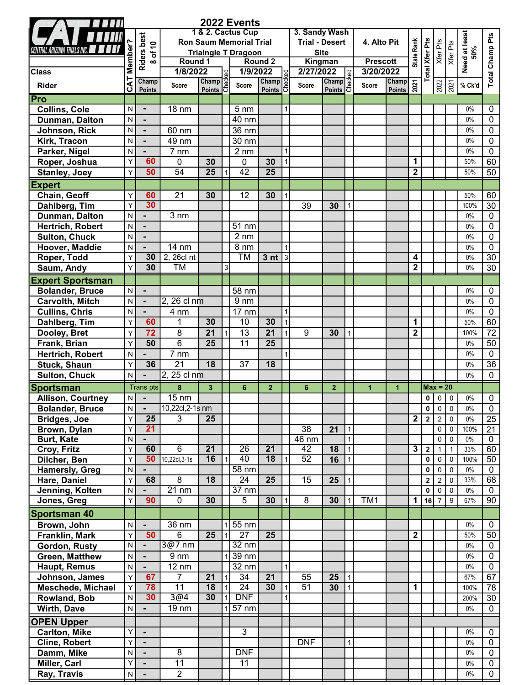| 1 & 2. Cactus Cup<br>3. Sandy Wash<br><b>Riders best</b><br><b>Ron Saum Memorial Trial</b><br><b>Trial - Desert</b><br>4. Alto Pit<br>of $10$                                                                                 |                      |                            |
|-------------------------------------------------------------------------------------------------------------------------------------------------------------------------------------------------------------------------------|----------------------|----------------------------|
|                                                                                                                                                                                                                               | Need at least<br>50% |                            |
|                                                                                                                                                                                                                               |                      |                            |
| State Rank<br><b>Total Xfer Pts</b><br>Xfer Pts<br>Xfer Pts<br>Member<br><b>Site</b><br><b>Trialngle T Dragoon</b><br>Round 1<br>Round <sub>2</sub><br>Kingman<br><b>Prescott</b><br>$\infty$                                 |                      |                            |
| 1/8/2022<br>1/9/2022<br>2/27/2022<br>3/20/2022<br><b>Class</b><br>Гe                                                                                                                                                          |                      |                            |
| $\begin{array}{r} \textbf{1022} \\ \hline \textbf{Champ} \\ \textbf{Points} \end{array}$<br>CAT<br>Champ<br>Champ<br><b>Champ</b><br><b>Champ</b><br>2021<br>$\frac{2022}{2021}$<br>Score<br>Score<br>Rider<br>Score<br>Score | % Ck'd               | Total Champ Pts            |
| Points<br>Points<br><b>Points</b><br><b>Points</b><br> Pro                                                                                                                                                                    |                      |                            |
| Collins, Cole<br>N<br>$18 \text{ nm}$<br>5 <sub>nm</sub>                                                                                                                                                                      | $0\%$                | 0                          |
| 40 nm<br>Dunman, Dalton<br>N                                                                                                                                                                                                  | $0\%$                | $\mathbf{0}$               |
| 36 nm<br>Johnson, Rick<br>N<br>60 nm                                                                                                                                                                                          | $0\%$                | $\mathbf{0}$               |
| $\overline{49}$ nm<br>$30 \text{ nm}$<br>Kirk, Tracon<br>N                                                                                                                                                                    | $0\%$                | $\mathbf 0$                |
| $\overline{7}$ nm<br>$2 \text{ nm}$<br>Parker, Nigel<br>N                                                                                                                                                                     | $0\%$                | $\mathbf 0$                |
| 60<br>1<br>$\mathbf{0}$<br>30<br>$\mathbf{0}$<br>30<br>Roper, Joshua<br>Υ                                                                                                                                                     | 50%                  | 60                         |
| $\overline{25}$<br>$\overline{25}$<br>$\overline{42}$<br>50<br>54<br>$\boldsymbol{2}$<br><b>Stanley, Joey</b><br>Y                                                                                                            | 50%                  | 50                         |
| <b>Expert</b>                                                                                                                                                                                                                 |                      |                            |
| $\overline{21}$<br>30<br>Chain, Geoff<br>60<br>12<br>30<br>Y                                                                                                                                                                  | 50%                  | 60                         |
| 30<br>Dahlberg, Tim<br>Y<br>39<br>30                                                                                                                                                                                          | 100%                 | 30                         |
| 3 nm<br>Dunman, Dalton<br>N                                                                                                                                                                                                   | $0\%$                | $\mathbf{0}$               |
| $51$ nm<br>Hertrich, Robert<br>N                                                                                                                                                                                              | $0\%$                | $\mathbf{0}$               |
| <b>Sulton, Chuck</b><br>$2 \, \text{nm}$<br>$\mathsf{N}$                                                                                                                                                                      | $0\%$                | $\mathbf{0}$               |
| Hoover, Maddie<br>$14 \text{ nm}$<br>8 nm<br>$\mathsf{N}$                                                                                                                                                                     | $0\%$                | $\mathbf{0}$               |
| 2, 26cl nt<br>30<br>ТM<br>$3$ nt<br>Roper, Todd<br>Y<br> 3 <br>4                                                                                                                                                              | $0\%$                | 30                         |
| $\mathbf 2$<br>30<br><b>TM</b><br>Saum, Andy<br>Y<br>3                                                                                                                                                                        | $0\%$                | 30                         |
| <b>Expert Sportsman</b>                                                                                                                                                                                                       |                      |                            |
| <b>Bolander, Bruce</b><br>N<br>58 nm<br>$\blacksquare$                                                                                                                                                                        | $0\%$                | 0                          |
| $2, 26$ cl nm<br><b>Carvolth, Mitch</b><br>9 <sub>nm</sub><br>N                                                                                                                                                               | $0\%$                | $\mathbf{0}$               |
| <b>Cullins, Chris</b><br>$17 \text{ nm}$<br>4 nm<br>N                                                                                                                                                                         | $0\%$                | $\mathbf{0}$               |
| 30<br>30<br>10<br>1<br>60<br>1<br>Dahlberg, Tim<br>Y                                                                                                                                                                          | 50%                  | 60                         |
| $\overline{72}$<br>$\overline{8}$<br>$\overline{21}$<br>$\overline{13}$<br>$\overline{2}$<br>21<br>9<br>Dooley, Bret<br>30<br>Y                                                                                               | 100%                 | 72                         |
| $\overline{6}$<br>$\overline{25}$<br>$\overline{11}$<br>$\overline{25}$<br>50<br>Frank, Brian<br>Υ                                                                                                                            | $0\%$                | 50                         |
| 7 nm<br>Hertrich, Robert<br>N                                                                                                                                                                                                 | $0\%$                | $\mathbf 0$                |
| $\overline{21}$<br>36<br>18<br>37<br>18<br><b>Stuck, Shaun</b><br>Y                                                                                                                                                           | $0\%$                | 36                         |
| 2, 25 cl nm<br><b>Sulton, Chuck</b><br>N                                                                                                                                                                                      | $0\%$                | $\mathbf 0$                |
| $\pmb{8}$<br>$\overline{\mathbf{3}}$<br><b>Sportsman</b><br>Trans pts<br>6<br>$\overline{2}$<br>$6\phantom{1}$<br>$\overline{2}$<br>$\mathbf{1}$<br>$Max = 20$<br>1                                                           |                      |                            |
| $15 \text{ nm}$<br><b>Allison, Courtney</b><br>$0$ 0<br>$\mathsf{N}$<br>$\overline{0}$                                                                                                                                        | $0\%$                | $\mathbf 0$                |
| 10,22cl,2-1s nm<br><b>Bolander, Bruce</b><br>0<br>$0 \mid 0$<br>N.                                                                                                                                                            | $0\%$                | 0                          |
| $\overline{2}$<br>$\overline{2}$<br>$\overline{2}$<br>25<br>3<br>25<br>$\mathbf{0}$<br>Bridges, Joe<br>Y                                                                                                                      | $0\%$                | 25                         |
| 21<br>Y<br>$\overline{38}$<br>$\overline{21}$<br>Brown, Dylan<br>$\mathbf 0$<br>$\overline{0}$<br>$\mathbf{1}$                                                                                                                | 100%                 | 21                         |
| <b>Burt, Kate</b><br>N<br>46 nm<br>0<br>$\mathbf 0$<br>$\mathbf{1}$<br>$\blacksquare$                                                                                                                                         | 0%                   | $\mathbf 0$                |
| 60<br>6<br>$\overline{21}$<br>$\overline{26}$<br>$\overline{21}$<br>$\overline{\mathbf{3}}$<br>Y<br>42<br>$\boldsymbol{2}$<br>Croy, Fritz<br>18<br>$\mathbf{1}$<br>$\mathbf{1}$                                               | 33%                  | 60                         |
| 16<br>40<br>$\overline{18}$<br>52<br>50<br>10,22cl, 3-1s<br>Y<br>Dilcher, Ben<br>16<br>0<br>0<br>$\mathbf 0$<br>$\mathbf{1}$                                                                                                  | 100%                 | 50                         |
| $58 \text{ nm}$<br><b>Hamersly, Greg</b><br>N<br>0<br>0<br>0                                                                                                                                                                  | $0\%$                | $\mathbf{0}$               |
| 8<br>68<br>18<br>24<br>25<br>15<br>Hare, Daniel<br>Y<br>$\overline{\mathbf{2}}$<br>25<br>$\overline{\mathbf{c}}$<br>$\mathbf 0$                                                                                               | 33%                  | 68                         |
| $21 \text{ nm}$<br>$37 \text{ nm}$<br>Jenning, Kolten<br>$\mathbf 0$<br>N<br>$\mathbf 0$<br>$\mathbf 0$<br>Y<br>90                                                                                                            | $0\%$                | $\mathbf{0}$               |
| 0<br>5<br>30<br>30<br>8<br>TM <sub>1</sub><br>$\mathbf 1$<br>$16$   7 <br>9<br>Jones, Greg<br>30<br>$\mathbf{1}$                                                                                                              | 67%                  | 90                         |
| <b>Sportsman 40</b>                                                                                                                                                                                                           |                      |                            |
| Brown, John<br>36 nm<br>55 nm<br>N                                                                                                                                                                                            | $0\%$                | $\mathbf 0$                |
| $\overline{27}$<br>$\overline{25}$<br>Franklin, Mark<br>50<br>6<br>$\overline{25}$<br>$\mathbf 2$<br>Y                                                                                                                        | 50%                  | 50                         |
| 3@7 nm<br>$32 \text{ nm}$<br>Gordon, Rusty<br>N<br>$\blacksquare$                                                                                                                                                             | $0\%$                | $\mathbf 0$                |
| Green, Matthew<br>9 <sub>nm</sub><br>39 nm<br>N                                                                                                                                                                               | $0\%$                | $\mathbf 0$                |
| $12 \text{ nm}$<br>$32 \text{ nm}$<br>Haupt, Remus<br>N<br>$\overline{7}$<br>$\overline{34}$<br>$\overline{21}$                                                                                                               | $0\%$                | $\mathbf 0$                |
| 21<br>55<br>Johnson, James<br>67<br>25<br>Y<br>$\mathbf{1}$<br>$\overline{11}$<br>30<br>18<br>$\overline{24}$<br>$\overline{51}$<br>78                                                                                        | 67%                  | 67                         |
| 1<br><b>Meschede, Michael</b><br>Υ<br>30<br>30<br><b>DNF</b><br>30<br>3@4                                                                                                                                                     | 100%                 | 78                         |
| ${\sf N}$<br>Rowland, Bob                                                                                                                                                                                                     | 200%                 | 30                         |
|                                                                                                                                                                                                                               | $0\%$                | 0                          |
| 57 nm<br>19 nm<br>N                                                                                                                                                                                                           |                      |                            |
|                                                                                                                                                                                                                               |                      |                            |
| $\overline{3}$<br>Y                                                                                                                                                                                                           | $0\%$                | $\mathbf{0}$               |
| Y<br><b>DNF</b><br>$\blacksquare$<br>$\mathbf{1}$                                                                                                                                                                             | $0\%$                | 0                          |
| Wirth, Dave<br><b>OPEN Upper</b><br><b>Carlton, Mike</b><br><b>Cline, Robert</b><br>8<br><b>DNF</b><br>Damm, Mike<br>N<br>$\blacksquare$                                                                                      | $0\%$                | $\mathbf 0$                |
| 11<br>11<br>Miller, Carl<br>Y<br>$\overline{2}$<br>Ray, Travis<br>N<br>$\blacksquare$                                                                                                                                         | $0\%$<br>$0\%$       | $\mathbf 0$<br>$\mathbf 0$ |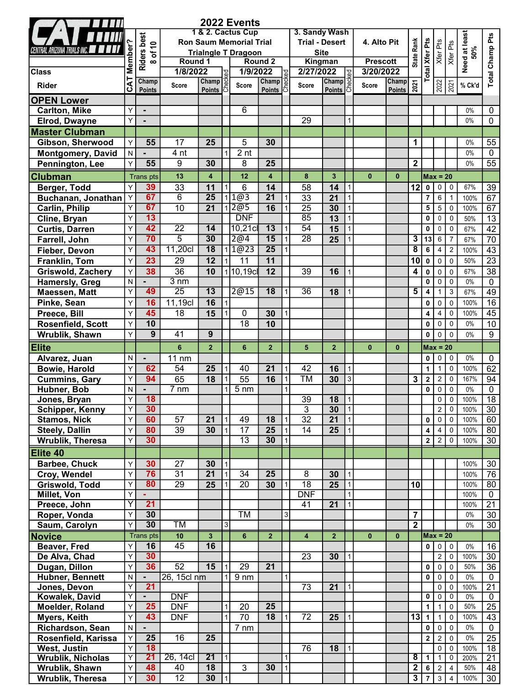|                                              |                |                             |                                                                                   |                         |                | 2022 Events        |                         |                |                                        |                                       |                        |              |                        |                                                    |                         |                               |                               |              |                 |
|----------------------------------------------|----------------|-----------------------------|-----------------------------------------------------------------------------------|-------------------------|----------------|--------------------|-------------------------|----------------|----------------------------------------|---------------------------------------|------------------------|--------------|------------------------|----------------------------------------------------|-------------------------|-------------------------------|-------------------------------|--------------|-----------------|
|                                              |                | <b>Riders best</b><br>of 10 | 1 & 2. Cactus Cup<br><b>Ron Saum Memorial Trial</b><br><b>Trialngle T Dragoon</b> |                         |                |                    |                         |                | 3. Sandy Wash<br><b>Trial - Desert</b> | <b>Site</b>                           | 4. Alto Pit            | Rank         | <b>Total Xfer Pts</b>  | Xfer Pts<br>Xfer Pts                               |                         | Need at least<br>50%          | Total Champ Pts               |              |                 |
|                                              | Member         | $\infty$                    | Round 1                                                                           |                         |                | Round <sub>2</sub> |                         |                |                                        | Kingman                               | <b>Prescott</b>        | State        |                        |                                                    |                         |                               |                               |              |                 |
| <b>Class</b>                                 |                |                             | 1/8/2022<br>၂၃                                                                    |                         |                |                    | 1/9/2022                |                | 2/27/2022                              |                                       |                        | 3/20/2022    |                        |                                                    |                         |                               |                               |              |                 |
| <b>Rider</b>                                 | CAT            | Champ<br>Points             | <b>Score</b>                                                                      | Champ<br><b>Points</b>  |                | Score              | Champ<br><b>Points</b>  |                | Score                                  | $\frac{1022}{\text{Champ}}$<br>Points |                        | <b>Score</b> | Champ<br><b>Points</b> | 2021                                               |                         | $\frac{2022}{2021}$           |                               | % Ck'd       |                 |
| <b>OPEN Lower</b>                            |                |                             |                                                                                   |                         |                |                    |                         |                |                                        |                                       |                        |              |                        |                                                    |                         |                               |                               |              |                 |
| <b>Carlton, Mike</b>                         | Υ              | $\blacksquare$              |                                                                                   |                         |                | 6                  |                         |                |                                        |                                       |                        |              |                        |                                                    |                         |                               |                               | $0\%$        | 0               |
| <b>Elrod, Dwayne</b>                         | Y              |                             |                                                                                   |                         |                |                    |                         |                | 29                                     |                                       |                        |              |                        |                                                    |                         |                               |                               | $0\%$        | 0               |
| <b>Master Clubman</b>                        |                |                             |                                                                                   |                         |                |                    |                         |                |                                        |                                       |                        |              |                        |                                                    |                         |                               |                               |              |                 |
| Gibson, Sherwood                             | Y              | 55                          | 17                                                                                | 25                      |                | 5                  | 30                      |                |                                        |                                       |                        |              |                        | 1                                                  |                         |                               |                               | $0\%$        | 55              |
| <b>Montgomery, David</b>                     | N              |                             | 4 nt                                                                              |                         |                | 2 <sub>nt</sub>    |                         |                |                                        |                                       |                        |              |                        |                                                    |                         |                               |                               | $0\%$        | $\mathbf{0}$    |
| Pennington, Lee                              | Y              | 55                          | 9                                                                                 | 30                      |                | 8                  | 25                      |                |                                        |                                       |                        |              |                        | $\mathbf 2$                                        |                         |                               |                               | $0\%$        | 55              |
| <b>Clubman</b>                               |                | <b>Trans pts</b>            | 13                                                                                | $\overline{\mathbf{4}}$ |                | 12                 | $\overline{\mathbf{4}}$ |                | 8                                      | $\overline{3}$                        |                        | $\mathbf{0}$ | $\mathbf{0}$           |                                                    |                         | $Max = 20$                    |                               |              |                 |
| Berger, Todd                                 | Y              | 39                          | $\overline{33}$                                                                   | 11                      |                | 6                  | 14                      |                | 58                                     | 14                                    | $\mathbf{1}$           |              |                        | 12                                                 | $\mathbf 0$             | $\mathbf 0$                   | 0                             | 67%          | 39              |
| Buchanan, Jonathan                           | Y              | 67                          | $\overline{6}$                                                                    | $\overline{25}$         |                | 1@3                | $\overline{21}$         |                | $\overline{33}$                        | $\overline{21}$                       |                        |              |                        |                                                    | $\overline{7}$          | 6                             | $\mathbf{1}$                  | 100%         | 67              |
| <b>Carlin, Philip</b>                        | Υ              | 67                          | 10                                                                                | 21                      |                | 2@5                | 16                      |                | $\overline{25}$                        | 30                                    | $\mathbf{1}$           |              |                        |                                                    | 5                       | 5                             | $\mathbf 0$                   | 100%         | 67              |
| Cline, Bryan                                 | Y              | 13                          |                                                                                   |                         |                | <b>DNF</b>         |                         |                | $\overline{85}$                        | $\overline{13}$                       | $\mathbf{1}$           |              |                        |                                                    | $\pmb{0}$               | $\pmb{0}$                     | $\pmb{0}$                     | 50%          | $\overline{13}$ |
| <b>Curtis, Darren</b>                        | Y              | 42                          | $\overline{22}$                                                                   | 14                      |                | 10,21c             | $\overline{13}$         |                | 54                                     | 15                                    | $\mathbf{1}$           |              |                        |                                                    | 0                       | 0                             | 0                             | 67%          | 42              |
| Farrell, John                                | Y              | 70                          | $\overline{5}$                                                                    | $\overline{30}$         |                | $\overline{2@4}$   | 15                      |                | $\overline{28}$                        | 25                                    |                        |              |                        | 3                                                  | 13                      | 6                             | $\overline{7}$                | 67%          | $\overline{70}$ |
| Fieber, Devon                                | Υ              | 43                          | 11,20cl                                                                           | $\overline{18}$         |                | 1@23               | $\overline{25}$         |                |                                        |                                       |                        |              |                        | 8                                                  | 6                       | 4                             | $\sqrt{2}$                    | 100%         | $\overline{43}$ |
| Franklin, Tom                                | Υ              | 23                          | 29                                                                                | 12                      |                | 11                 | 11                      |                |                                        |                                       |                        |              |                        | 10                                                 | $\pmb{0}$               | 0                             | $\pmb{0}$                     | 50%          | $\overline{23}$ |
| <b>Griswold, Zachery</b>                     | Y              | 38                          | $\overline{36}$                                                                   | 10                      |                | $1$ 10,19cl        | 12                      |                | 39                                     | 16                                    |                        |              |                        | 4                                                  | $\mathbf 0$             | $\mathbf 0$                   | $\pmb{0}$                     | 67%          | $\overline{38}$ |
| Hamersly, Greg                               | ${\sf N}$      |                             | $3 \text{ nm}$                                                                    |                         |                |                    |                         |                |                                        |                                       |                        |              |                        |                                                    | $\mathbf 0$             | $\pmb{0}$                     | $\pmb{0}$                     | $0\%$        | $\mathbf 0$     |
| Maessen, Matt                                | Υ              | 49                          | $\overline{25}$                                                                   | 13                      |                | 2@15               | 18                      |                | $\overline{36}$                        | 18                                    |                        |              |                        | 5                                                  | 4                       | 1                             | 3                             | 67%          | 49              |
| Pinke, Sean                                  | Y              | 16                          | 11,19cl                                                                           | 16                      |                |                    |                         |                |                                        |                                       |                        |              |                        |                                                    | $\mathbf 0$             | $\pmb{0}$                     | $\pmb{0}$                     | 100%         | $\overline{16}$ |
| Preece, Bill                                 | Y              | 45                          | 18                                                                                | 15                      |                | 0                  | 30                      |                |                                        |                                       |                        |              |                        |                                                    | $\overline{4}$          | 4                             | $\mathbf 0$                   | 100%         | 45              |
| Rosenfield, Scott                            | Y              | 10                          |                                                                                   |                         |                | 18                 | 10                      |                |                                        |                                       |                        |              |                        |                                                    | $\mathbf 0$             | 0                             | $\mathbf 0$                   | $0\%$        | 10              |
| Wrublik, Shawn                               | Y              | 9                           | 41                                                                                | 9                       |                |                    |                         |                |                                        |                                       |                        |              |                        |                                                    | $\mathbf 0$             | 0                             | $\mathbf 0$                   | $0\%$        | 9               |
| <b>Elite</b>                                 |                |                             | 6                                                                                 | $\overline{2}$          |                | 6                  | $\overline{2}$          |                | 5                                      | $\overline{2}$                        |                        | $\mathbf{0}$ | $\mathbf{0}$           |                                                    |                         | $Max = 20$                    |                               |              |                 |
| Alvarez, Juan                                | N              |                             | 11 nm                                                                             |                         |                |                    |                         |                |                                        |                                       |                        |              |                        |                                                    | 0                       | 0                             | $\mathbf 0$                   | $0\%$        | 0               |
| <b>Bowie, Harold</b>                         | Y              | 62                          | 54                                                                                | 25                      |                | 40                 | 21                      |                | 42                                     | 16                                    | $\mathbf{1}$           |              |                        |                                                    | $\mathbf 1$             | 1                             | $\pmb{0}$                     | 100%         | 62              |
| <b>Cummins, Gary</b>                         | Y              | 94                          | 65                                                                                | $\overline{18}$         |                | $\overline{55}$    | 16                      |                | $\overline{\text{TM}}$                 | 30                                    | $\overline{3}$         |              |                        | 3                                                  | $\boldsymbol{2}$        | $\boldsymbol{2}$              | $\pmb{0}$                     | 167%         | 94              |
| Hubner, Bob                                  | N              |                             | $7 \text{ nm}$                                                                    |                         |                | 5 <sub>nm</sub>    |                         |                |                                        |                                       |                        |              |                        |                                                    | $\mathbf 0$             | $\pmb{0}$                     | $\mathbf 0$                   | $0\%$        | 0               |
| Jones, Bryan                                 | Y              | 18                          |                                                                                   |                         |                |                    |                         |                | 39                                     | 18                                    | $\mathbf{1}$           |              |                        |                                                    |                         | 0                             | $\pmb{0}$                     | 100%         | $\overline{18}$ |
| Schipper, Kenny                              | Υ<br>Υ         | 30<br>60                    | 57                                                                                | 21                      |                | 49                 | 18                      |                | 3<br>$\overline{32}$                   | 30<br>21                              | $\vert$ 1<br>$\vert$ 1 |              |                        |                                                    | $\mathbf 0$             | $\overline{2}$<br>$\mathbf 0$ | $\pmb{0}$<br>$\overline{0}$   | 100%<br>100% | 30<br>60        |
| <b>Stamos, Nick</b><br><b>Steely, Dallin</b> | Υ              | 80                          | 39                                                                                | 30                      |                | $\overline{17}$    | $\overline{25}$         |                | 14                                     | 25                                    | $\mathbf{1}$           |              |                        |                                                    | $\overline{\mathbf{4}}$ | $\overline{4}$                | $\overline{0}$                | 100%         | 80              |
| <b>Wrublik, Theresa</b>                      | Υ              | 30                          |                                                                                   |                         |                | $\overline{13}$    | 30                      |                |                                        |                                       |                        |              |                        |                                                    |                         | $2\sqrt{2}$                   |                               | 100%         | 30              |
| Elite 40                                     |                |                             |                                                                                   |                         |                |                    |                         |                |                                        |                                       |                        |              |                        |                                                    |                         |                               |                               |              |                 |
| <b>Barbee, Chuck</b>                         | Y              | 30                          | 27                                                                                | 30                      |                |                    |                         |                |                                        |                                       |                        |              |                        |                                                    |                         |                               |                               | 100%         | 30              |
| Croy, Wendel                                 | Y              | 76                          | 31                                                                                | 21                      | $\overline{1}$ | 34                 | 25                      |                | 8                                      | 30                                    | $\mathbf{1}$           |              |                        |                                                    |                         |                               |                               | 100%         | 76              |
| Griswold, Todd                               | Υ              | 80                          | 29                                                                                | 25                      |                | 20                 | 30                      |                | 18                                     | 25                                    | $\mathbf{1}$           |              |                        | 10                                                 |                         |                               |                               | 100%         | 80              |
| Millet, Von                                  | Υ              |                             |                                                                                   |                         |                |                    |                         |                | <b>DNF</b>                             |                                       | $\mathbf{1}$           |              |                        |                                                    |                         |                               |                               | 100%         | $\mathbf 0$     |
| Preece, John                                 | Y              | 21                          |                                                                                   |                         |                |                    |                         |                | 41                                     | 21                                    | 1                      |              |                        |                                                    |                         |                               |                               | 100%         | $\overline{21}$ |
| Roper, Vonda                                 | Y              | 30                          |                                                                                   |                         |                | <b>TM</b>          |                         | 3 <sup>1</sup> |                                        |                                       |                        |              |                        | $\overline{7}$                                     |                         |                               |                               | 0%           | 30              |
| Saum, Carolyn                                | Y              | 30                          | <b>TM</b>                                                                         |                         | $\sqrt{3}$     |                    |                         |                |                                        |                                       |                        |              |                        | $\overline{2}$                                     |                         |                               |                               | $0\%$        | $\overline{30}$ |
| <b>Novice</b>                                |                | <b>Trans</b> pts            | 10                                                                                | $\mathbf{3}$            |                | 6                  | $\overline{2}$          |                | 4                                      | 2 <sup>1</sup>                        |                        | $\mathbf{0}$ | $\mathbf{0}$           |                                                    |                         | $Max = 20$                    |                               |              |                 |
| <b>Beaver, Fred</b>                          | Y              | 16                          | 45                                                                                | 16                      |                |                    |                         |                |                                        |                                       |                        |              |                        |                                                    |                         | 0 0                           | $\mathbf 0$                   | $0\%$        | 16              |
| De Alva, Chad                                | Υ              | 30                          |                                                                                   |                         |                |                    |                         |                | 23                                     | 30                                    |                        |              |                        |                                                    |                         | $\overline{a}$                | $\mathbf 0$                   | 100%         | $\overline{30}$ |
| Dugan, Dillon                                | Υ              | 36                          | 52                                                                                | 15                      |                | $\overline{29}$    | $\overline{21}$         |                |                                        |                                       |                        |              |                        |                                                    | 0                       | $\mathbf 0$                   | $\mathbf 0$                   | 50%          | $\overline{36}$ |
| <b>Hubner, Bennett</b>                       | $\mathsf{N}$   |                             | 26, 15cl nm                                                                       |                         |                | 9 <sub>nm</sub>    |                         |                |                                        |                                       |                        |              |                        |                                                    | 0                       | $\mathbf 0$                   | $\mathbf 0$                   | $0\%$        | $\overline{0}$  |
| Jones, Devon                                 | Y              | $\overline{21}$             |                                                                                   |                         |                |                    |                         |                | 73                                     | 21                                    |                        |              |                        |                                                    |                         | 0                             | $\mathbf 0$                   | 100%         | $\overline{21}$ |
| Kowalek, David                               | Y              |                             | <b>DNF</b>                                                                        |                         |                |                    |                         |                |                                        |                                       |                        |              |                        |                                                    | $\mathbf 0$             | 0                             | $\mathbf 0$                   | $0\%$        | $\overline{0}$  |
| Moelder, Roland                              | Υ              | $\overline{25}$             | <b>DNF</b>                                                                        |                         |                | 20                 | $\overline{25}$         |                |                                        |                                       |                        |              |                        |                                                    | $\mathbf{1}$            |                               | $\pmb{0}$                     | 50%          | $\overline{25}$ |
| Myers, Keith                                 | Υ              | 43                          | <b>DNF</b>                                                                        |                         |                | $\overline{70}$    | 18                      |                | $\overline{72}$                        | 25                                    |                        |              |                        | $13$ 1                                             |                         | $\mathbf{1}$                  | $\pmb{0}$                     | 100%         | 43              |
| Richardson, Sean                             | ${\sf N}$      |                             |                                                                                   |                         |                | 7 nm               |                         |                |                                        |                                       |                        |              |                        |                                                    | $\mathbf 0$             | $\mathbf 0$                   | $\mathbf 0$                   | $0\%$        | $\mathbf 0$     |
| Rosenfield, Karissa                          | Υ              | $\overline{25}$             | $\overline{16}$                                                                   | $\overline{25}$         |                |                    |                         |                |                                        |                                       |                        |              |                        |                                                    | $\overline{\mathbf{2}}$ | $\overline{2}$                | $\pmb{0}$                     | $0\%$        | $\overline{25}$ |
| West, Justin                                 | Y              | 18                          |                                                                                   | $\overline{21}$         |                |                    |                         |                | 76                                     | 18                                    | $\mathbf{1}$           |              |                        |                                                    |                         | 0                             | $\mathsf 0$                   | 100%         | 18              |
| <b>Wrublik, Nicholas</b>                     | $\overline{Y}$ | 21<br>48                    | 26, 14cl                                                                          | $\overline{18}$         | l 1            |                    |                         |                |                                        |                                       |                        |              |                        | $\overline{\mathbf{8}}$<br>$\overline{\mathbf{2}}$ | $\mathbf{1}$            | $\mathbf{1}$                  | $\mathbf 0$<br>$\overline{4}$ | 200%         | $\overline{21}$ |
| Wrublik, Shawn                               | Y<br>Y         | 30                          | 40<br>$\overline{12}$                                                             | 30                      | $\overline{1}$ | 3                  | 30                      | 1              |                                        |                                       |                        |              |                        | $\overline{\mathbf{3}}$                            | $\overline{7}$          | 6 2                           | $3 \mid 4$                    | 50%<br>100%  | 48              |
| Wrublik, Theresa                             |                |                             |                                                                                   |                         |                |                    |                         |                |                                        |                                       |                        |              |                        |                                                    |                         |                               |                               |              | 30              |